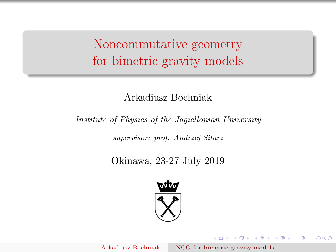<span id="page-0-0"></span>Noncommutative geometry for bimetric gravity models

## Arkadiusz Bochniak

### Institute of Physics of the Jagiellonian University

supervisor: prof. Andrzej Sitarz

# Okinawa, 23-27 July 2019



モロメ メ御き メミメ メミメ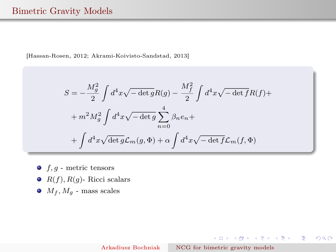### Bimetric Gravity Models

[Hassan-Rosen, 2012; Akrami-Koivisto-Sandstad, 2013]

$$
S = -\frac{M_g^2}{2} \int d^4x \sqrt{-\det g} R(g) - \frac{M_f^2}{2} \int d^4x \sqrt{-\det f} R(f) +
$$
  
+  $m^2 M_g^2 \int d^4x \sqrt{-\det g} \sum_{n=0}^4 \beta_n e_n +$   
+  $\int d^4x \sqrt{\det g} \mathcal{L}_m(g, \Phi) + \alpha \int d^4x \sqrt{-\det f} \mathcal{L}_m(f, \Phi)$ 

- $\bullet$  f, g metric tensors
- $\bullet$   $R(f), R(g)$  Ricci scalars
- $\bullet$   $M_f, M_g$  mass scales

K ロ ▶ K 御 ▶ K 할 ▶ K 할 ▶ ... 할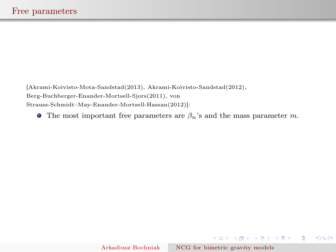[Akrami-Koivisto-Mota-Sandstad(2013), Akrami-Koivisto-Sandstad(2012), Berg-Buchberger-Enander-Mortsell-Sjors(2011), von Strauss-Schmidt–May-Enander-Mortsell-Hassan(2012)]:

**The most important free parameters are**  $\beta_n$ **'s and the mass parameter m.** 

K ロ ▶ K 御 ▶ K 할 ▶ K 할 ▶ ... 할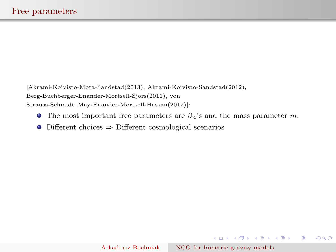[Akrami-Koivisto-Mota-Sandstad(2013), Akrami-Koivisto-Sandstad(2012), Berg-Buchberger-Enander-Mortsell-Sjors(2011), von Strauss-Schmidt–May-Enander-Mortsell-Hassan(2012)]:

- **The most important free parameters are**  $\beta_n$ **'s and the mass parameter m.**
- Different choices ⇒ Different cosmological scenarios

K ロ ▶ K 御 ▶ K 할 ▶ K 할 ▶ ... 할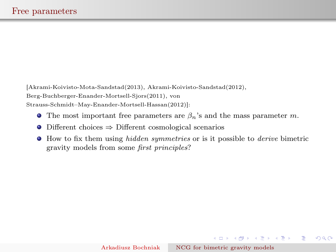[Akrami-Koivisto-Mota-Sandstad(2013), Akrami-Koivisto-Sandstad(2012), Berg-Buchberger-Enander-Mortsell-Sjors(2011), von Strauss-Schmidt–May-Enander-Mortsell-Hassan(2012)]:

- **The most important free parameters are**  $\beta_n$ **'s and the mass parameter m.**
- Different choices ⇒ Different cosmological scenarios
- $\bullet$  How to fix them using *hidden symmetries* or is it possible to *derive* bimetric gravity models from some first principles?

**◆ロト→伊ト→毛ト→毛ト | 毛**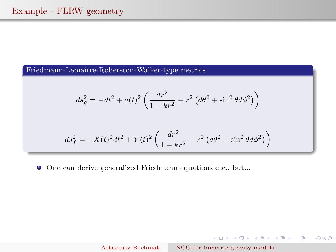### Friedmann-Lemaître-Roberston-Walker-type metrics

$$
ds_g^2 = -dt^2 + a(t)^2 \left( \frac{dr^2}{1 - kr^2} + r^2 \left( d\theta^2 + \sin^2 \theta d\phi^2 \right) \right)
$$

$$
ds_f^2 = -X(t)^2 dt^2 + Y(t)^2 \left( \frac{dr^2}{1 - kr^2} + r^2 (d\theta^2 + \sin^2 \theta d\phi^2) \right)
$$

One can derive generalized Friedmann equations etc., but...

Arkadiusz Bochniak [NCG for bimetric gravity models](#page-0-0)

K ロ ▶ K 御 ▶ K 澄 ▶ K 澄 ▶ ...

 $\Rightarrow$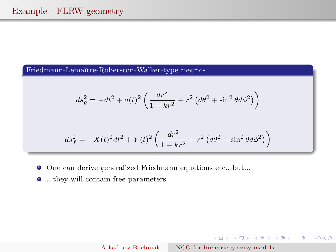### Friedmann-Lemaître-Roberston-Walker-type metrics

$$
ds_g^2 = -dt^2 + a(t)^2 \left( \frac{dr^2}{1 - kr^2} + r^2 \left( d\theta^2 + \sin^2 \theta d\phi^2 \right) \right)
$$

$$
ds_f^2 = -X(t)^2 dt^2 + Y(t)^2 \left( \frac{dr^2}{1 - kr^2} + r^2 (d\theta^2 + \sin^2 \theta d\phi^2) \right)
$$

- One can derive generalized Friedmann equations etc., but...
- ...they will contain free parameters

K ロ ▶ K 御 ▶ K 澄 ▶ K 澄 ▶ ...

 $\Rightarrow$ 

 $2Q$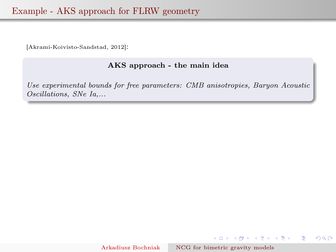## Example - AKS approach for FLRW geometry

[Akrami-Koivisto-Sandstad, 2012]:

### AKS approach - the main idea

Use experimental bounds for free parameters: CMB anisotropies, Baryon Acoustic Oscillations, SNe Ia,...

 $2QQ$ 

E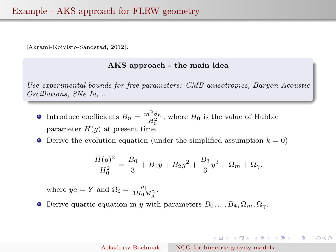[Akrami-Koivisto-Sandstad, 2012]:

#### AKS approach - the main idea

Use experimental bounds for free parameters: CMB anisotropies, Baryon Acoustic Oscillations, SNe Ia,...

- Introduce coefficients  $B_n = \frac{m^2 \beta_n}{H_0^2}$ , where  $H_0$  is the value of Hubble parameter  $H(q)$  at present time
- $\bullet$ Derive the evolution equation (under the simplified assumption  $k = 0$ )

$$
\frac{H(g)^2}{H_0^2} = \frac{B_0}{3} + B_1y + B_2y^2 + \frac{B_3}{3}y^3 + \Omega_m + \Omega_\gamma,
$$

where  $ya = Y$  and  $\Omega_i = \frac{\rho_i}{3H_0M_g^2}$ .

**O** Derive quartic equation in y with parameters  $B_0, ..., B_4, \Omega_m, \Omega_\gamma$ .

Arkadiusz Bochniak [NCG for bimetric gravity models](#page-0-0)

 $\left\{ \begin{array}{ccc} 1 & 0 & 0 \\ 0 & 1 & 0 \end{array} \right.$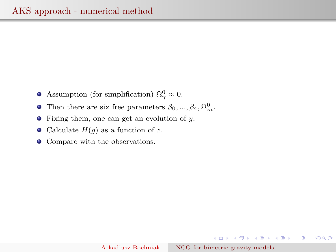- Assumption (for simplification)  $\Omega_{\gamma}^0 \approx 0$ .
- Then there are six free parameters  $\beta_0, ..., \beta_4, \Omega_m^0$ .
- Fixing them, one can get an evolution of y.  $\bullet$
- Calculate  $H(g)$  as a function of z.
- Compare with the observations.

K ロ ▶ K 御 ▶ K 할 ▶ K 할 ▶ ... 할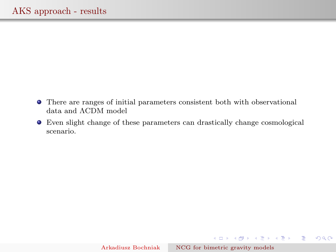- There are ranges of initial parameters consistent both with observational data and ΛCDM model
- Even slight change of these parameters can drastically change cosmological scenario.

K ロ ▶ K 레 ▶ K 호 ▶ K 호 ▶ 시 호 │ K 9 Q Q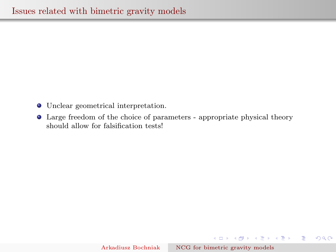- Unclear geometrical interpretation.
- Large freedom of the choice of parameters appropriate physical theory should allow for falsification tests!

K ロ ▶ K 御 ▶ K 할 ▶ K 할 ▶ ... 할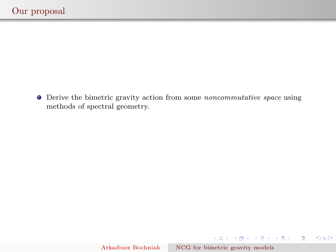Derive the bimetric gravity action from some noncommutative space using methods of spectral geometry.

 $-990$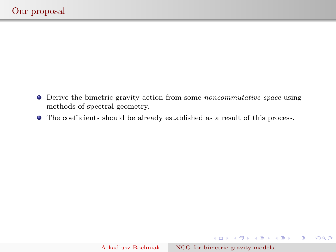- Derive the bimetric gravity action from some noncommutative space using methods of spectral geometry.
- The coefficients should be already established as a result of this process.

K ロ ▶ K 御 ▶ K 澄 ▶ K 澄 ▶ ...

 $\Rightarrow$  $-990$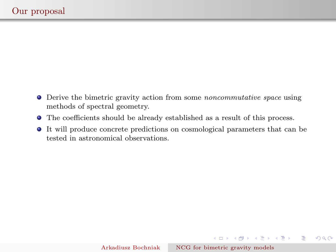- Derive the bimetric gravity action from some noncommutative space using methods of spectral geometry.
- The coefficients should be already established as a result of this process.
- It will produce concrete predictions on cosmological parameters that can be tested in astronomical observations.

イロメ イ部メ イ君メ イ君メー

 $\Rightarrow$ 

 $2Q$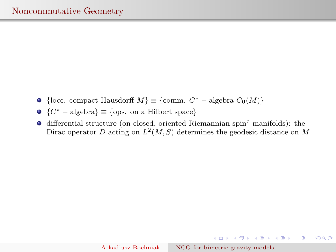- {locc. compact Hausdorff  $M$ }  $\equiv$  {comm.  $C^*$  algebra  $C_0(M)$ }
- $\bullet \{C^* \text{algebra}\} \equiv \{\text{ops. on a Hilbert space}\}\$
- $\bullet$  differential structure (on closed, oriented Riemannian spin<sup>c</sup> manifolds): the Dirac operator D acting on  $L^2(M, S)$  determines the geodesic distance on M

**◆ロト→伊ト→毛ト→毛ト | 毛**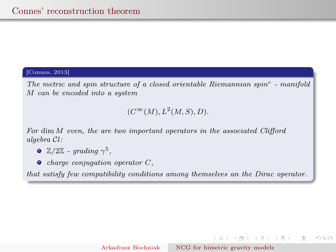#### [Connes, 2013]

The metric and spin structure of a closed orientable Riemannian spin<sup>c</sup> - manifold M can be encoded into a system

### $(C^{\infty}(M), L^2(M, S), D).$

For dim M even, the are two important operators in the associated Clifford algebra Cl:

- $\mathbb{Z}/2\mathbb{Z}$  grading  $\gamma^5$ ,
- $\bullet$  charge conjugation operator  $C$ ,

that satisfy few compatibility conditions among themselves an the Dirac operator.

 $A \equiv \begin{pmatrix} 1 & 0 & 0 \\ 0 & 0 & 0 \\ 0 & 0 & 0 \end{pmatrix} \in A \equiv \begin{pmatrix} 1 & 0 & 0 \\ 0 & 0 & 0 \\ 0 & 0 & 0 \end{pmatrix} \in A \equiv \begin{pmatrix} 1 & 0 & 0 \\ 0 & 0 & 0 \\ 0 & 0 & 0 \end{pmatrix}$ 

 $QQQ$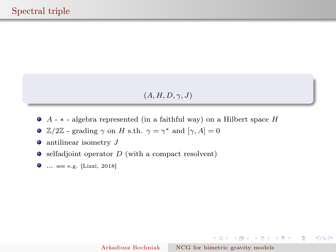$(A, H, D, \gamma, J)$ 

- $\bullet$  A  $*$  algebra represented (in a faithful way) on a Hilbert space H
- $\mathbb{Z}/2\mathbb{Z}$  grading  $\gamma$  on H s.th.  $\gamma = \gamma^*$  and  $[\gamma, A] = 0$
- $\bullet$  antilinear isometry  $J$
- $\bullet$  selfadjoint operator D (with a compact resolvent)
- ... see e.g. [Lizzi, 2018]

イロメ イ部メ イ君メ イ君メー

 $299$ 

**E**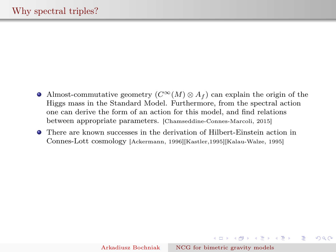- Almost-commutative geometry  $(C^{\infty}(M) \otimes A_f)$  can explain the origin of the Higgs mass in the Standard Model. Furthermore, from the spectral action one can derive the form of an action for this model, and find relations between appropriate parameters. [Chamseddine-Connes-Marcoli, 2015]
- There are known successes in the derivation of Hilbert-Einstein action in Connes-Lott cosmology [Ackermann, 1996][Kastler,1995][Kalau-Walze, 1995]

**◆ロト→伊ト→毛ト→毛ト | 毛**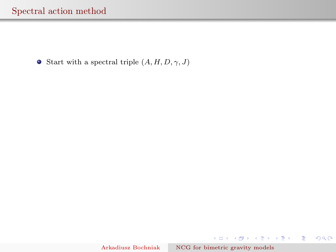**•** Start with a spectral triple  $(A, H, D, \gamma, J)$ 

メロト メ都 トメ 君 トメ 君 トッ 君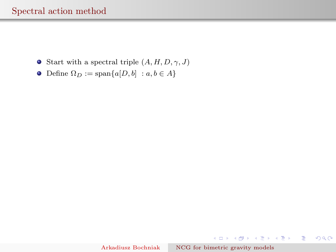- **•** Start with a spectral triple  $(A, H, D, \gamma, J)$
- Define  $\Omega_D := \text{span}\{a[D, b] : a, b \in A\}$

**K ロ ▶ K 御 ▶ K 결 ▶ K 결 ▶ │ 결**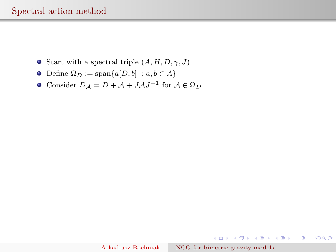- **•** Start with a spectral triple  $(A, H, D, \gamma, J)$
- Define  $\Omega_D := \text{span}\{a[D, b] : a, b \in A\}$
- Consider  $D_A = D + A + JAJ^{-1}$  for  $A \in \Omega_D$

K ロ ▶ K 御 ▶ K 할 ▶ K 할 ▶ ... 할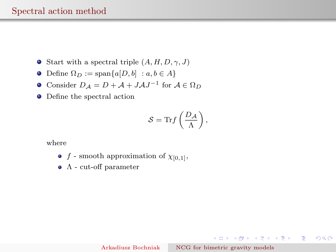- **•** Start with a spectral triple  $(A, H, D, \gamma, J)$
- Define  $\Omega_D := \text{span}\{a[D, b] : a, b \in A\}$
- Consider  $D_A = D + A + JAJ^{-1}$  for  $A \in \Omega_D$
- Define the spectral action

$$
S = \mathrm{Tr} f\left(\frac{D_{\mathcal{A}}}{\Lambda}\right),\,
$$

where

- f smooth approximation of  $\chi_{[0,1]},$
- Λ cut-off parameter

Arkadiusz Bochniak [NCG for bimetric gravity models](#page-0-0)

K ロ > K 個 > K 할 > K 할 > → 할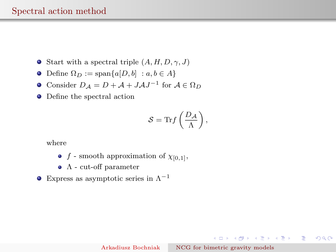- **•** Start with a spectral triple  $(A, H, D, \gamma, J)$
- Define  $\Omega_D := \text{span}\{a[D, b] : a, b \in A\}$
- Consider  $D_A = D + A + JAJ^{-1}$  for  $A \in \Omega_D$
- Define the spectral action

$$
S = \mathrm{Tr} f\left(\frac{D_{\mathcal{A}}}{\Lambda}\right),\,
$$

where

- f smooth approximation of  $\chi_{[0,1]},$
- Λ cut-off parameter
- **•** Express as asymptotic series in  $\Lambda^{-1}$

K ロンバイ ランバ ミンバ ミンバー ミ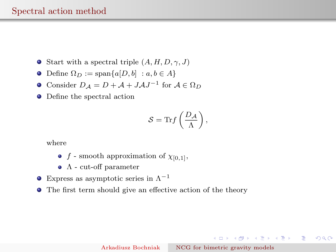- **•** Start with a spectral triple  $(A, H, D, \gamma, J)$
- Define  $\Omega_D := \text{span}\{a[D, b] : a, b \in A\}$
- Consider  $D_A = D + A + JAJ^{-1}$  for  $A \in \Omega_D$
- Define the spectral action

$$
S = \mathrm{Tr} f\left(\frac{D_{\mathcal{A}}}{\Lambda}\right),\,
$$

where

- f smooth approximation of  $\chi_{[0,1]}$ ,
- $\bullet$   $\Lambda$  cut-off parameter
- **•** Express as asymptotic series in  $\Lambda^{-1}$
- The first term should give an effective action of the theory

K ロンバイ ランバ ミンバ ミンバー ミ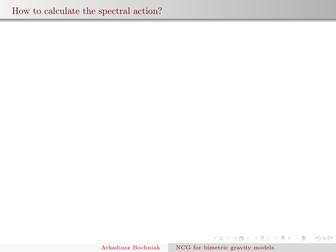Arkadiusz Bochniak [NCG for bimetric gravity models](#page-0-0)

(ロト (個) (変) (変)

活

 $2Q$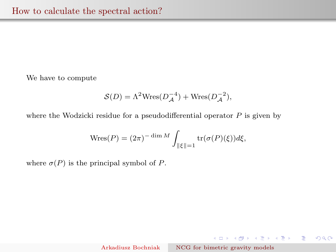We have to compute

$$
S(D) = \Lambda^2 \text{Wres}(D_{\mathcal{A}}^{-4}) + \text{Wres}(D_{\mathcal{A}}^{-2}),
$$

where the Wodzicki residue for a pseudodifferential operator  $P$  is given by

$$
\text{Wres}(P) = (2\pi)^{-\dim M} \int_{\|\xi\|=1} \text{tr}(\sigma(P)(\xi))d\xi,
$$

where  $\sigma(P)$  is the principal symbol of P.

K ロ ▶ K 御 ▶ K 할 ▶ K 할 ▶ ... 할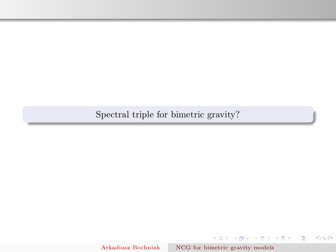Spectral triple for bimetric gravity?

Arkadiusz Bochniak [NCG for bimetric gravity models](#page-0-0)

イロメ イ部メ イ君メ イ君メー

重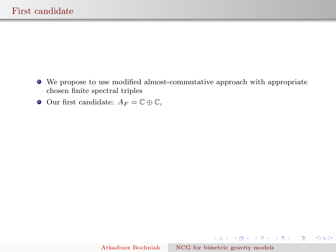- We propose to use modified almost-commutative approach with appropriate chosen finite spectral triples
- Our first candidate:  $A_F = \mathbb{C} \oplus \mathbb{C}$ ,

**K ロ X イ団 X スミ X スミ X ニミ**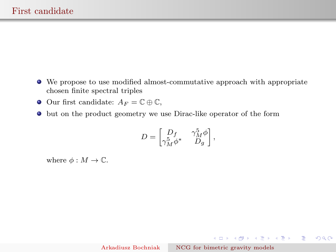- We propose to use modified almost-commutative approach with appropriate chosen finite spectral triples
- **●** Our first candidate:  $A_F = \mathbb{C} \oplus \mathbb{C}$ ,
- but on the product geometry we use Dirac-like operator of the form

$$
D = \begin{bmatrix} D_f & \gamma_M^5 \phi \\ \gamma_M^5 \phi^* & D_g \end{bmatrix},
$$

where  $\phi : M \to \mathbb{C}$ .

지수는 지금에 지수는 지수는 지수는 것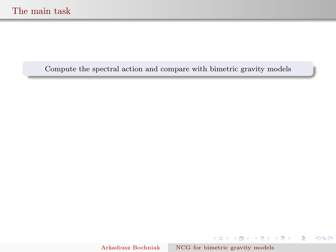Compute the spectral action and compare with bimetric gravity models

Arkadiusz Bochniak [NCG for bimetric gravity models](#page-0-0)

K ロ ▶ K 御 ▶ K 할 ▶ K 할 ▶ ... 할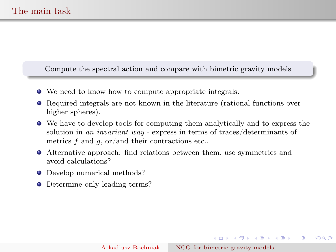Compute the spectral action and compare with bimetric gravity models

- We need to know how to compute appropriate integrals.
- Required integrals are not known in the literature (rational functions over higher spheres).
- We have to develop tools for computing them analytically and to express the solution in an invariant way - express in terms of traces/determinants of metrics  $f$  and  $g$ , or/and their contractions etc..
- Alternative approach: find relations between them, use symmetries and avoid calculations?
- Develop numerical methods?
- Determine only leading terms?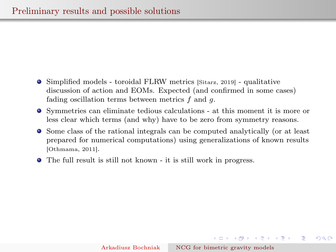- Simplified models toroidal FLRW metrics [Sitarz, 2019] qualitative discussion of action and EOMs. Expected (and confirmed in some cases) fading oscillation terms between metrics  $f$  and  $g$ .
- Symmetries can eliminate tedious calculations at this moment it is more or less clear which terms (and why) have to be zero from symmetry reasons.
- Some class of the rational integrals can be computed analytically (or at least prepared for numerical computations) using generalizations of known results [Othmama, 2011].
- The full result is still not known it is still work in progress.

 $A \cup B \rightarrow A \oplus B \rightarrow A \oplus B \rightarrow A \oplus B \rightarrow B$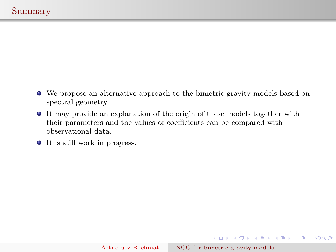- We propose an alternative approach to the bimetric gravity models based on spectral geometry.
- It may provide an explanation of the origin of these models together with their parameters and the values of coefficients can be compared with observational data.
- It is still work in progress.

K ロ ▶ K 御 ▶ K 할 ▶ K 할 ▶ ... 할

 $2Q$